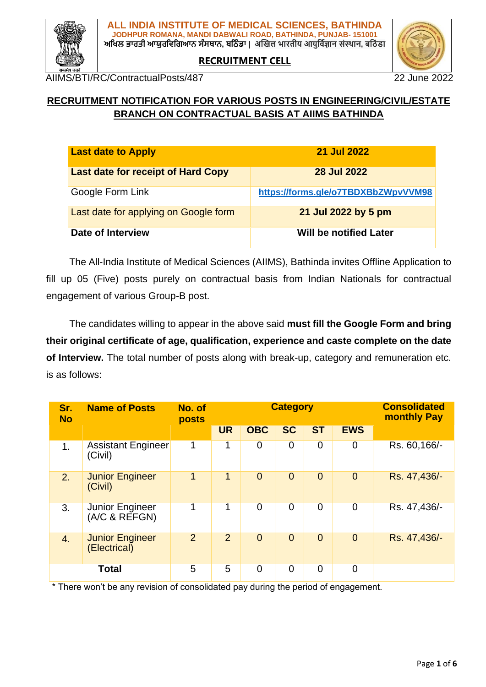

**RECRUITMENT CELL**



AIIMS/BTI/RC/ContractualPosts/487 22 June 2022

## **RECRUITMENT NOTIFICATION FOR VARIOUS POSTS IN ENGINEERING/CIVIL/ESTATE BRANCH ON CONTRACTUAL BASIS AT AIIMS BATHINDA**

| <b>Last date to Apply</b>                 | <b>21 Jul 2022</b>                  |
|-------------------------------------------|-------------------------------------|
| <b>Last date for receipt of Hard Copy</b> | <b>28 Jul 2022</b>                  |
| Google Form Link                          | https://forms.gle/o7TBDXBbZWpvVVM98 |
| Last date for applying on Google form     | 21 Jul 2022 by 5 pm                 |
| Date of Interview                         | <b>Will be notified Later</b>       |

The All-India Institute of Medical Sciences (AIIMS), Bathinda invites Offline Application to fill up 05 (Five) posts purely on contractual basis from Indian Nationals for contractual engagement of various Group-B post.

The candidates willing to appear in the above said **must fill the Google Form and bring their original certificate of age, qualification, experience and caste complete on the date of Interview.** The total number of posts along with break-up, category and remuneration etc. is as follows:

| Sr.<br><b>No</b> | <b>Name of Posts</b>                   | No. of<br>posts | <b>Category</b> |                |                | <b>Consolidated</b><br><b>monthly Pay</b> |                |               |
|------------------|----------------------------------------|-----------------|-----------------|----------------|----------------|-------------------------------------------|----------------|---------------|
|                  |                                        |                 | <b>UR</b>       | <b>OBC</b>     | <b>SC</b>      | <b>ST</b>                                 | <b>EWS</b>     |               |
| 1 <sub>1</sub>   | <b>Assistant Engineer</b><br>(Civil)   | 1               | 1               | $\overline{0}$ | $\overline{0}$ | $\mathbf 0$                               | 0              | Rs. 60, 166/- |
| 2.               | <b>Junior Engineer</b><br>(Civil)      | 1               | $\mathbf{1}$    | $\overline{0}$ | $\overline{0}$ | $\overline{0}$                            | $\overline{0}$ | Rs. 47,436/-  |
| 3.               | Junior Engineer<br>(A/C & REFGN)       | 1               | 1               | $\overline{0}$ | $\overline{0}$ | $\overline{0}$                            | $\overline{0}$ | Rs. 47,436/-  |
| 4.               | <b>Junior Engineer</b><br>(Electrical) | 2               | $\overline{2}$  | $\overline{0}$ | $\overline{0}$ | $\overline{0}$                            | $\overline{0}$ | Rs. 47,436/-  |
|                  | <b>Total</b>                           | 5               | 5               | $\overline{0}$ | $\overline{0}$ | $\overline{0}$                            | 0              |               |

\* There won't be any revision of consolidated pay during the period of engagement.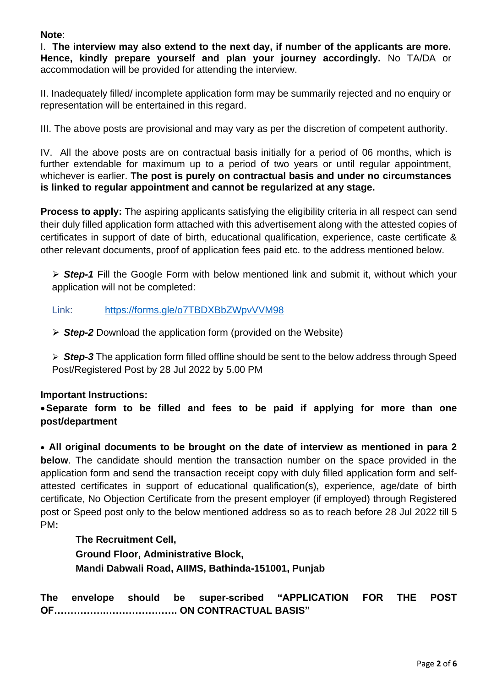#### **Note**:

I. **The interview may also extend to the next day, if number of the applicants are more. Hence, kindly prepare yourself and plan your journey accordingly.** No TA/DA or accommodation will be provided for attending the interview.

II. Inadequately filled/ incomplete application form may be summarily rejected and no enquiry or representation will be entertained in this regard.

III. The above posts are provisional and may vary as per the discretion of competent authority.

IV. All the above posts are on contractual basis initially for a period of 06 months, which is further extendable for maximum up to a period of two years or until regular appointment, whichever is earlier. **The post is purely on contractual basis and under no circumstances is linked to regular appointment and cannot be regularized at any stage.**

**Process to apply:** The aspiring applicants satisfying the eligibility criteria in all respect can send their duly filled application form attached with this advertisement along with the attested copies of certificates in support of date of birth, educational qualification, experience, caste certificate & other relevant documents, proof of application fees paid etc. to the address mentioned below.

➢ *Step-1* Fill the Google Form with below mentioned link and submit it, without which your application will not be completed:

#### Link: <https://forms.gle/o7TBDXBbZWpvVVM98>

➢ *Step-2* Download the application form (provided on the Website)

➢ *Step-3* The application form filled offline should be sent to the below address through Speed Post/Registered Post by 28 Jul 2022 by 5.00 PM

#### **Important Instructions:**

•**Separate form to be filled and fees to be paid if applying for more than one post/department**

• **All original documents to be brought on the date of interview as mentioned in para 2 below**. The candidate should mention the transaction number on the space provided in the application form and send the transaction receipt copy with duly filled application form and selfattested certificates in support of educational qualification(s), experience, age/date of birth certificate, No Objection Certificate from the present employer (if employed) through Registered post or Speed post only to the below mentioned address so as to reach before 28 Jul 2022 till 5 PM**:** 

**The Recruitment Cell, Ground Floor, Administrative Block, Mandi Dabwali Road, AIIMS, Bathinda-151001, Punjab** 

**The envelope should be super-scribed "APPLICATION FOR THE POST OF…………….…………………. ON CONTRACTUAL BASIS"**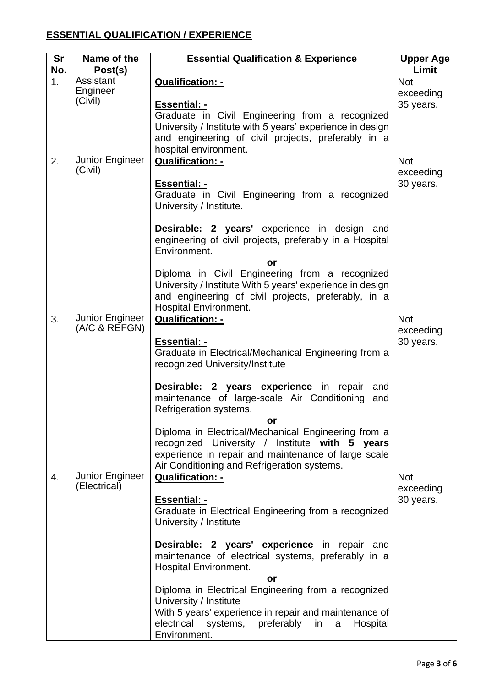# **ESSENTIAL QUALIFICATION / EXPERIENCE**

| Sr<br>No.        | Name of the<br>Post(s)           | <b>Essential Qualification &amp; Experience</b>                                                                                                                                                                                                                                                                                                                                                                                                                                           | <b>Upper Age</b><br>Limit            |
|------------------|----------------------------------|-------------------------------------------------------------------------------------------------------------------------------------------------------------------------------------------------------------------------------------------------------------------------------------------------------------------------------------------------------------------------------------------------------------------------------------------------------------------------------------------|--------------------------------------|
| 1.               | Assistant<br>Engineer<br>(Civil) | <b>Qualification: -</b><br><b>Essential: -</b><br>Graduate in Civil Engineering from a recognized<br>University / Institute with 5 years' experience in design<br>and engineering of civil projects, preferably in a<br>hospital environment.                                                                                                                                                                                                                                             | <b>Not</b><br>exceeding<br>35 years. |
| 2.               | Junior Engineer<br>(Civil)       | <b>Qualification: -</b><br><b>Essential: -</b><br>Graduate in Civil Engineering from a recognized<br>University / Institute.<br>Desirable: 2 years' experience in design and<br>engineering of civil projects, preferably in a Hospital<br>Environment.<br>or<br>Diploma in Civil Engineering from a recognized<br>University / Institute With 5 years' experience in design<br>and engineering of civil projects, preferably, in a<br><b>Hospital Environment.</b>                       | <b>Not</b><br>exceeding<br>30 years. |
| 3.               | Junior Engineer<br>(A/C 8 REFGN) | Qualification: -<br><b>Essential: -</b><br>Graduate in Electrical/Mechanical Engineering from a<br>recognized University/Institute<br>Desirable: 2 years experience in repair<br>and<br>maintenance of large-scale Air Conditioning<br>and<br>Refrigeration systems.<br>or<br>Diploma in Electrical/Mechanical Engineering from a<br>recognized University / Institute with 5 years<br>experience in repair and maintenance of large scale<br>Air Conditioning and Refrigeration systems. | <b>Not</b><br>exceeding<br>30 years. |
| $\overline{4}$ . | Junior Engineer<br>(Electrical)  | <b>Qualification: -</b><br><b>Essential: -</b><br>Graduate in Electrical Engineering from a recognized<br>University / Institute<br>Desirable: 2 years' experience in repair and<br>maintenance of electrical systems, preferably in a<br><b>Hospital Environment.</b><br>or<br>Diploma in Electrical Engineering from a recognized<br>University / Institute<br>With 5 years' experience in repair and maintenance of<br>electrical systems, preferably in a<br>Hospital<br>Environment. | <b>Not</b><br>exceeding<br>30 years. |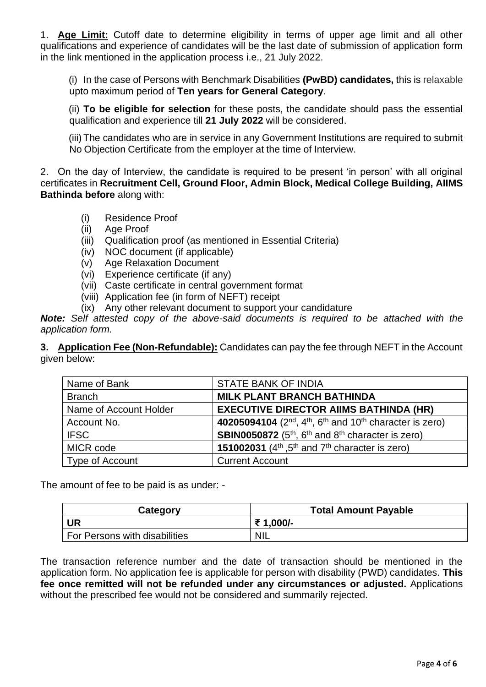1. **Age Limit:** Cutoff date to determine eligibility in terms of upper age limit and all other qualifications and experience of candidates will be the last date of submission of application form in the link mentioned in the application process i.e., 21 July 2022.

(i) In the case of Persons with Benchmark Disabilities **(PwBD) candidates,** this is relaxable upto maximum period of **Ten years for General Category**.

(ii) **To be eligible for selection** for these posts, the candidate should pass the essential qualification and experience till **21 July 2022** will be considered.

(iii) The candidates who are in service in any Government Institutions are required to submit No Objection Certificate from the employer at the time of Interview.

2. On the day of Interview, the candidate is required to be present 'in person' with all original certificates in **Recruitment Cell, Ground Floor, Admin Block, Medical College Building, AIIMS Bathinda before** along with:

- (i) Residence Proof
- (ii) Age Proof
- (iii) Qualification proof (as mentioned in Essential Criteria)
- (iv) NOC document (if applicable)
- (v) Age Relaxation Document
- (vi) Experience certificate (if any)
- (vii) Caste certificate in central government format
- (viii) Application fee (in form of NEFT) receipt
- (ix) Any other relevant document to support your candidature

*Note: Self attested copy of the above-said documents is required to be attached with the application form.*

**3. Application Fee (Non-Refundable):** Candidates can pay the fee through NEFT in the Account given below:

| Name of Bank           | <b>STATE BANK OF INDIA</b>                                                    |
|------------------------|-------------------------------------------------------------------------------|
| <b>Branch</b>          | <b>MILK PLANT BRANCH BATHINDA</b>                                             |
| Name of Account Holder | <b>EXECUTIVE DIRECTOR AIIMS BATHINDA (HR)</b>                                 |
| Account No.            | 40205094104 ( $2^{nd}$ , $4^{th}$ , $6^{th}$ and $10^{th}$ character is zero) |
| <b>IFSC</b>            | <b>SBIN0050872</b> ( $5th$ , $6th$ and $8th$ character is zero)               |
| MICR code              | 151002031 $(4th,5th$ and $7th$ character is zero)                             |
| Type of Account        | <b>Current Account</b>                                                        |

The amount of fee to be paid is as under: -

| Category                      | <b>Total Amount Payable</b> |
|-------------------------------|-----------------------------|
| <b>UR</b>                     | ₹ 1,000/-                   |
| For Persons with disabilities | <b>NIL</b>                  |

The transaction reference number and the date of transaction should be mentioned in the application form. No application fee is applicable for person with disability (PWD) candidates. **This fee once remitted will not be refunded under any circumstances or adjusted.** Applications without the prescribed fee would not be considered and summarily rejected.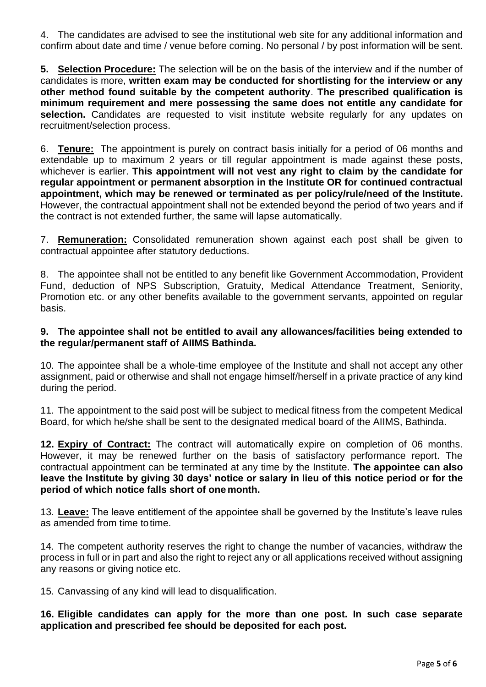4. The candidates are advised to see the institutional web site for any additional information and confirm about date and time / venue before coming. No personal / by post information will be sent.

**5. Selection Procedure:** The selection will be on the basis of the interview and if the number of candidates is more, **written exam may be conducted for shortlisting for the interview or any other method found suitable by the competent authority**. **The prescribed qualification is minimum requirement and mere possessing the same does not entitle any candidate for**  selection. Candidates are requested to visit institute website regularly for any updates on recruitment/selection process.

6. **Tenure:** The appointment is purely on contract basis initially for a period of 06 months and extendable up to maximum 2 years or till regular appointment is made against these posts, whichever is earlier. **This appointment will not vest any right to claim by the candidate for regular appointment or permanent absorption in the Institute OR for continued contractual appointment, which may be renewed or terminated as per policy/rule/need of the Institute.** However, the contractual appointment shall not be extended beyond the period of two years and if the contract is not extended further, the same will lapse automatically.

7. **Remuneration:** Consolidated remuneration shown against each post shall be given to contractual appointee after statutory deductions.

8. The appointee shall not be entitled to any benefit like Government Accommodation, Provident Fund, deduction of NPS Subscription, Gratuity, Medical Attendance Treatment, Seniority, Promotion etc. or any other benefits available to the government servants, appointed on regular basis.

#### **9. The appointee shall not be entitled to avail any allowances/facilities being extended to the regular/permanent staff of AIIMS Bathinda.**

10. The appointee shall be a whole-time employee of the Institute and shall not accept any other assignment, paid or otherwise and shall not engage himself/herself in a private practice of any kind during the period.

11. The appointment to the said post will be subject to medical fitness from the competent Medical Board, for which he/she shall be sent to the designated medical board of the AIIMS, Bathinda.

**12. Expiry of Contract:** The contract will automatically expire on completion of 06 months. However, it may be renewed further on the basis of satisfactory performance report. The contractual appointment can be terminated at any time by the Institute. **The appointee can also leave the Institute by giving 30 days' notice or salary in lieu of this notice period or for the period of which notice falls short of one month.**

13. **Leave:** The leave entitlement of the appointee shall be governed by the Institute's leave rules as amended from time totime.

14. The competent authority reserves the right to change the number of vacancies, withdraw the process in full or in part and also the right to reject any or all applications received without assigning any reasons or giving notice etc.

15. Canvassing of any kind will lead to disqualification.

**16. Eligible candidates can apply for the more than one post. In such case separate application and prescribed fee should be deposited for each post.**